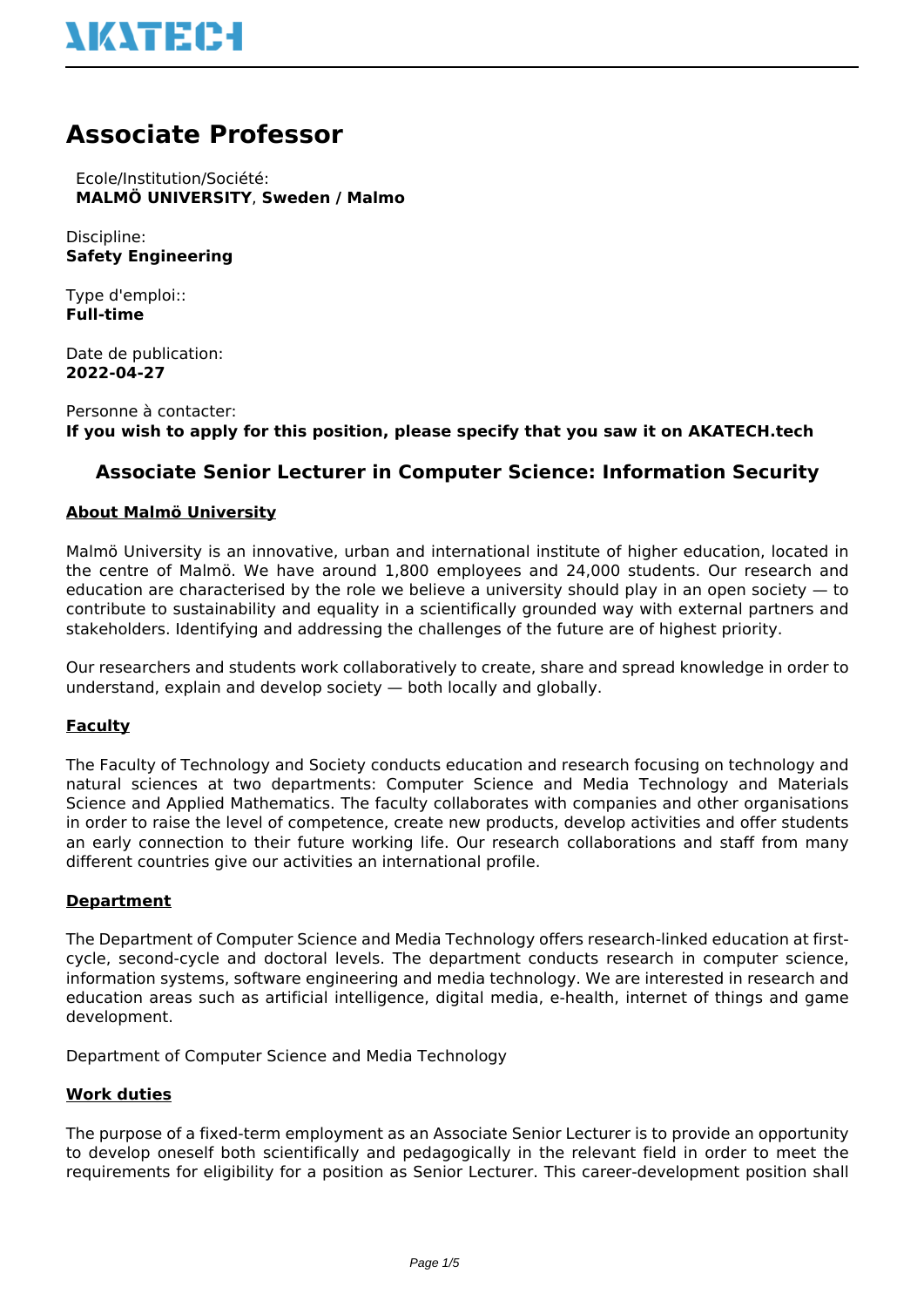# **NATEC-I**

## **Associate Professor**

 Ecole/Institution/Société: **MALMÖ UNIVERSITY**, **Sweden / Malmo**

Discipline: **Safety Engineering**

Type d'emploi:: **Full-time**

Date de publication: **2022-04-27**

Personne à contacter: **If you wish to apply for this position, please specify that you saw it on AKATECH.tech**

### **Associate Senior Lecturer in Computer Science: Information Security**

#### **About Malmö University**

Malmö University is an innovative, urban and international institute of higher education, located in the centre of Malmö. We have around 1,800 employees and 24,000 students. Our research and education are characterised by the role we believe a university should play in an open society — to contribute to sustainability and equality in a scientifically grounded way with external partners and stakeholders. Identifying and addressing the challenges of the future are of highest priority.

Our researchers and students work collaboratively to create, share and spread knowledge in order to understand, explain and develop society — both locally and globally.

#### **Faculty**

The Faculty of Technology and Society conducts education and research focusing on technology and natural sciences at two departments: Computer Science and Media Technology and Materials Science and Applied Mathematics. The faculty collaborates with companies and other organisations in order to raise the level of competence, create new products, develop activities and offer students an early connection to their future working life. Our research collaborations and staff from many different countries give our activities an international profile.

#### **Department**

The Department of Computer Science and Media Technology offers research-linked education at firstcycle, second-cycle and doctoral levels. The department conducts research in computer science, information systems, software engineering and media technology. We are interested in research and education areas such as artificial intelligence, digital media, e-health, internet of things and game development.

Department of Computer Science and Media Technology

#### **Work duties**

The purpose of a fixed-term employment as an Associate Senior Lecturer is to provide an opportunity to develop oneself both scientifically and pedagogically in the relevant field in order to meet the requirements for eligibility for a position as Senior Lecturer. This career-development position shall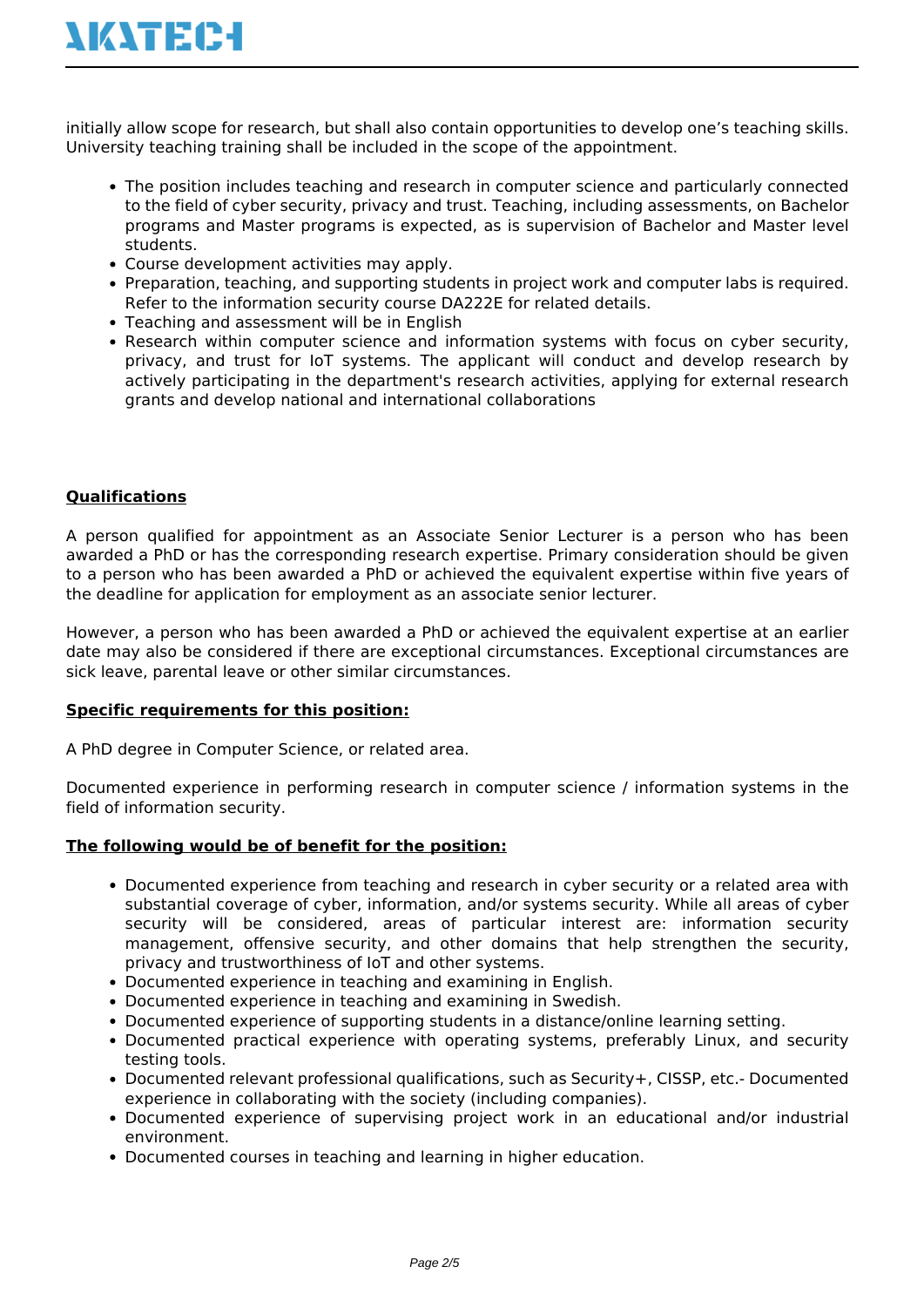# **NATEC-I**

initially allow scope for research, but shall also contain opportunities to develop one's teaching skills. University teaching training shall be included in the scope of the appointment.

- The position includes teaching and research in computer science and particularly connected to the field of cyber security, privacy and trust. Teaching, including assessments, on Bachelor programs and Master programs is expected, as is supervision of Bachelor and Master level students.
- Course development activities may apply.
- Preparation, teaching, and supporting students in project work and computer labs is required. Refer to the information security course DA222E for related details.
- Teaching and assessment will be in English
- Research within computer science and information systems with focus on cyber security, privacy, and trust for IoT systems. The applicant will conduct and develop research by actively participating in the department's research activities, applying for external research grants and develop national and international collaborations

### **Qualifications**

A person qualified for appointment as an Associate Senior Lecturer is a person who has been awarded a PhD or has the corresponding research expertise. Primary consideration should be given to a person who has been awarded a PhD or achieved the equivalent expertise within five years of the deadline for application for employment as an associate senior lecturer.

However, a person who has been awarded a PhD or achieved the equivalent expertise at an earlier date may also be considered if there are exceptional circumstances. Exceptional circumstances are sick leave, parental leave or other similar circumstances.

#### **Specific requirements for this position:**

A PhD degree in Computer Science, or related area.

Documented experience in performing research in computer science / information systems in the field of information security.

#### **The following would be of benefit for the position:**

- Documented experience from teaching and research in cyber security or a related area with substantial coverage of cyber, information, and/or systems security. While all areas of cyber security will be considered, areas of particular interest are: information security management, offensive security, and other domains that help strengthen the security, privacy and trustworthiness of IoT and other systems.
- Documented experience in teaching and examining in English.
- Documented experience in teaching and examining in Swedish.
- Documented experience of supporting students in a distance/online learning setting.
- Documented practical experience with operating systems, preferably Linux, and security testing tools.
- Documented relevant professional qualifications, such as Security+, CISSP, etc.- Documented experience in collaborating with the society (including companies).
- Documented experience of supervising project work in an educational and/or industrial environment.
- Documented courses in teaching and learning in higher education.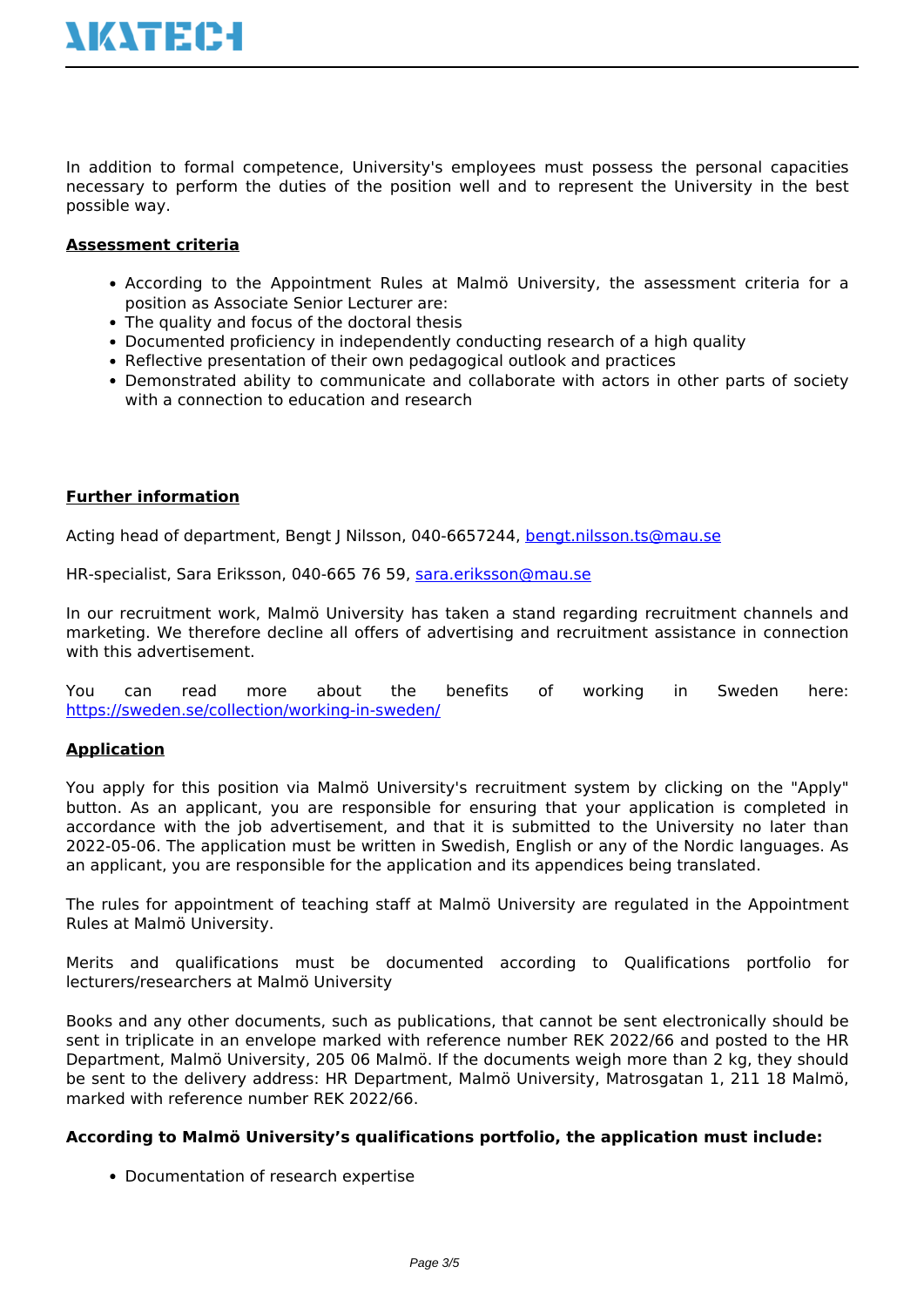In addition to formal competence, University's employees must possess the personal capacities necessary to perform the duties of the position well and to represent the University in the best possible way.

#### **Assessment criteria**

- According to the Appointment Rules at Malmö University, the assessment criteria for a position as Associate Senior Lecturer are:
- The quality and focus of the doctoral thesis
- Documented proficiency in independently conducting research of a high quality
- Reflective presentation of their own pedagogical outlook and practices
- Demonstrated ability to communicate and collaborate with actors in other parts of society with a connection to education and research

#### **Further information**

Acting head of department, Bengt J Nilsson, 040-6657244, [bengt.nilsson.ts@mau.se](mailto:bengt.nilsson.ts@mau.se)

HR-specialist, Sara Eriksson, 040-665 76 59, [sara.eriksson@mau.se](mailto:sara.eriksson@mau.se)

In our recruitment work, Malmö University has taken a stand regarding recruitment channels and marketing. We therefore decline all offers of advertising and recruitment assistance in connection with this advertisement.

You can read more about the benefits of working in Sweden here: <https://sweden.se/collection/working-in-sweden/>

#### **Application**

You apply for this position via Malmö University's recruitment system by clicking on the "Apply" button. As an applicant, you are responsible for ensuring that your application is completed in accordance with the job advertisement, and that it is submitted to the University no later than 2022-05-06. The application must be written in Swedish, English or any of the Nordic languages. As an applicant, you are responsible for the application and its appendices being translated.

The rules for appointment of teaching staff at Malmö University are regulated in the Appointment Rules at Malmö University.

Merits and qualifications must be documented according to Qualifications portfolio for lecturers/researchers at Malmö University

Books and any other documents, such as publications, that cannot be sent electronically should be sent in triplicate in an envelope marked with reference number REK 2022/66 and posted to the HR Department, Malmö University, 205 06 Malmö. If the documents weigh more than 2 kg, they should be sent to the delivery address: HR Department, Malmö University, Matrosgatan 1, 211 18 Malmö, marked with reference number REK 2022/66.

#### **According to Malmö University's qualifications portfolio, the application must include:**

• Documentation of research expertise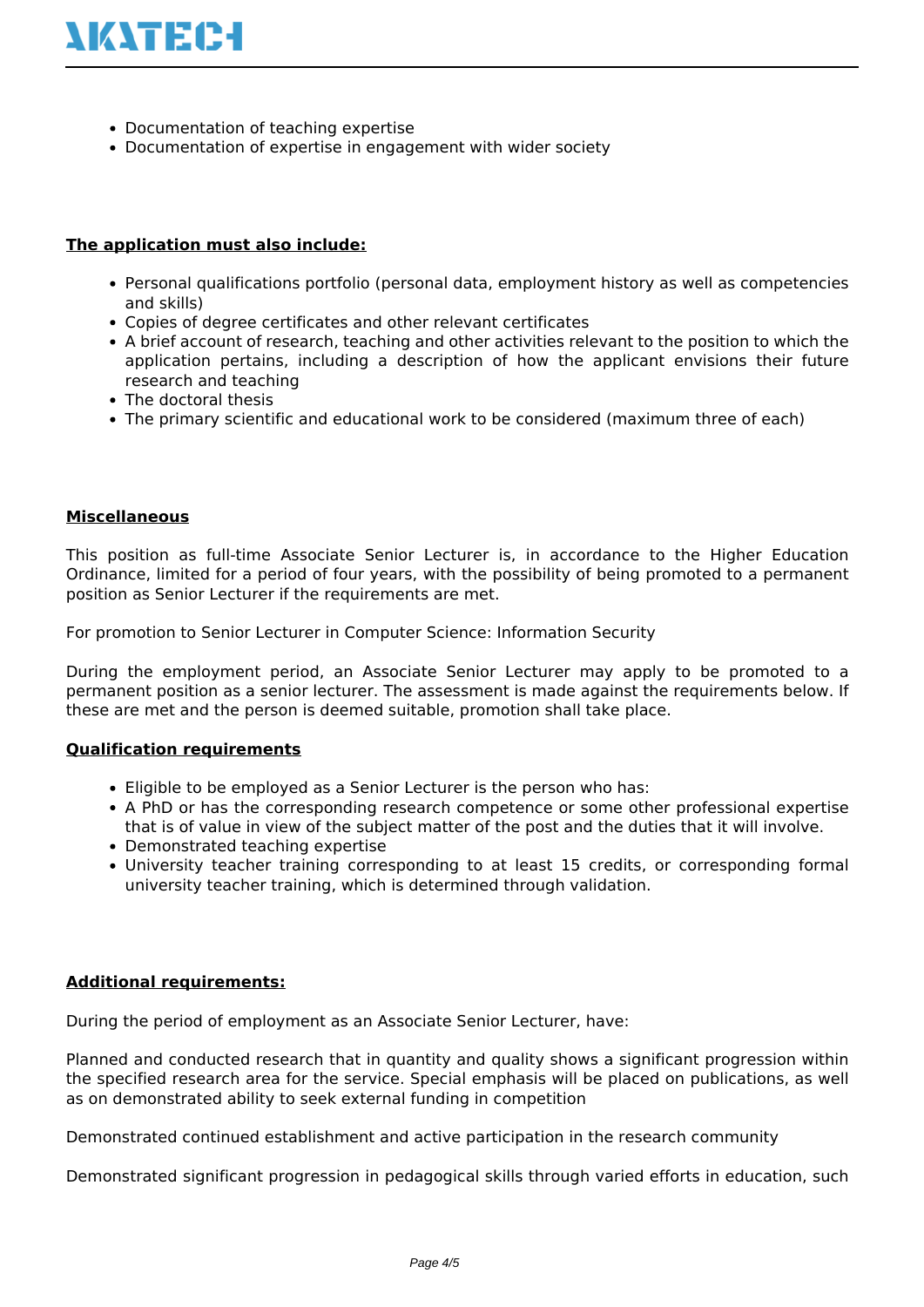

- Documentation of teaching expertise
- Documentation of expertise in engagement with wider society

#### **The application must also include:**

- Personal qualifications portfolio (personal data, employment history as well as competencies and skills)
- Copies of degree certificates and other relevant certificates
- A brief account of research, teaching and other activities relevant to the position to which the application pertains, including a description of how the applicant envisions their future research and teaching
- The doctoral thesis
- The primary scientific and educational work to be considered (maximum three of each)

#### **Miscellaneous**

This position as full-time Associate Senior Lecturer is, in accordance to the Higher Education Ordinance, limited for a period of four years, with the possibility of being promoted to a permanent position as Senior Lecturer if the requirements are met.

For promotion to Senior Lecturer in Computer Science: Information Security

During the employment period, an Associate Senior Lecturer may apply to be promoted to a permanent position as a senior lecturer. The assessment is made against the requirements below. If these are met and the person is deemed suitable, promotion shall take place.

#### **Qualification requirements**

- Eligible to be employed as a Senior Lecturer is the person who has:
- A PhD or has the corresponding research competence or some other professional expertise that is of value in view of the subject matter of the post and the duties that it will involve.
- Demonstrated teaching expertise
- University teacher training corresponding to at least 15 credits, or corresponding formal university teacher training, which is determined through validation.

#### **Additional requirements:**

During the period of employment as an Associate Senior Lecturer, have:

Planned and conducted research that in quantity and quality shows a significant progression within the specified research area for the service. Special emphasis will be placed on publications, as well as on demonstrated ability to seek external funding in competition

Demonstrated continued establishment and active participation in the research community

Demonstrated significant progression in pedagogical skills through varied efforts in education, such